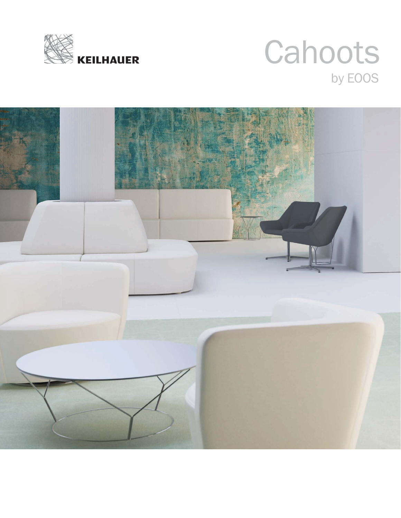

## Cahoots by EOOS

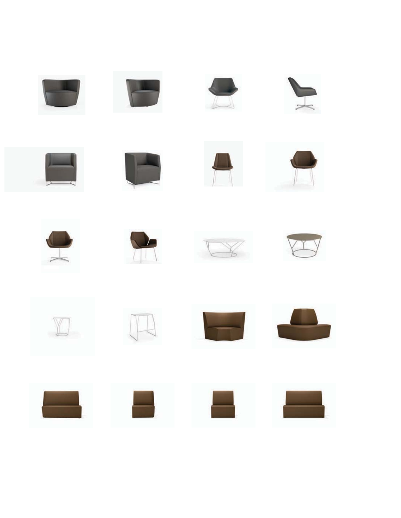

































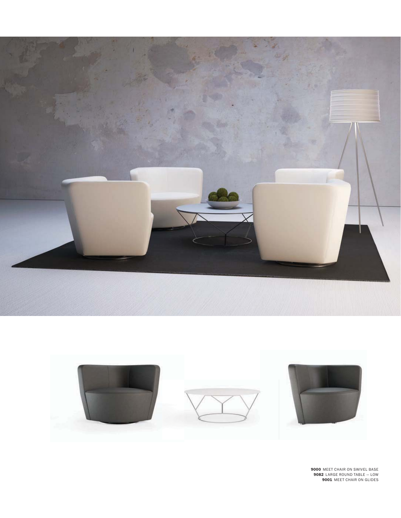



MEET CHAIR ON SWIVEL BASE **9082** LARGE ROUND TABLE — LOW **9001** MEET CHAIR ON GLIDES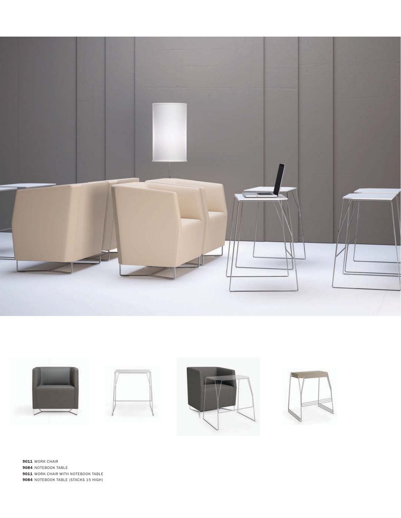



 WORK CHAIR NOTEBOOK TABLE WORK CHAIR WITH NOTEBOOK TABLE NOTEBOOK TABLE (STACKS 15 HIGH)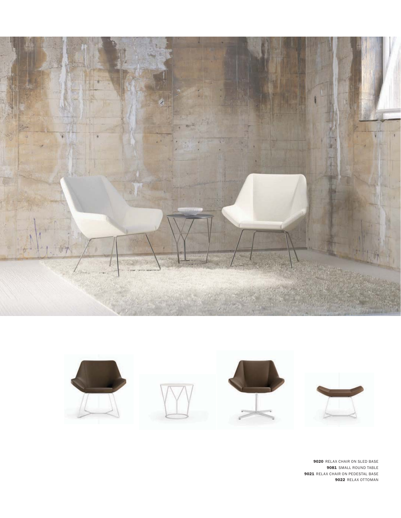



 RELAX CHAIR ON SLED BASE SMALL ROUND TABLE RELAX CHAIR ON PEDESTAL BASE RELAX OTTOMAN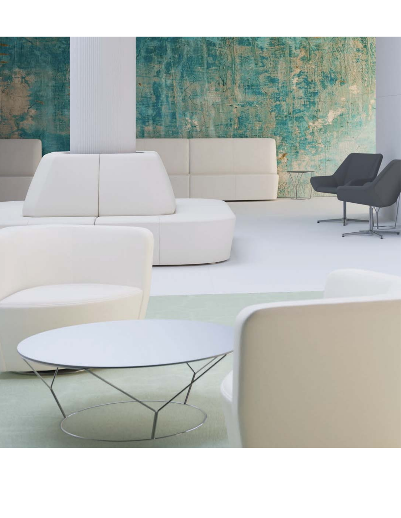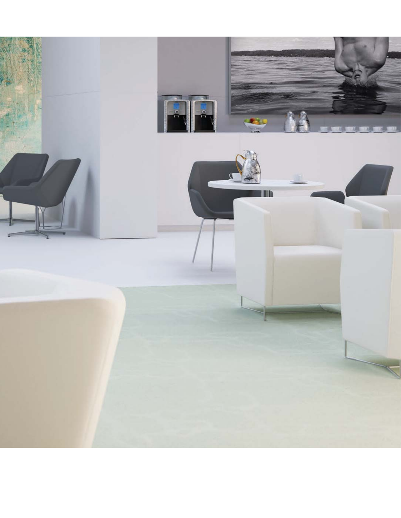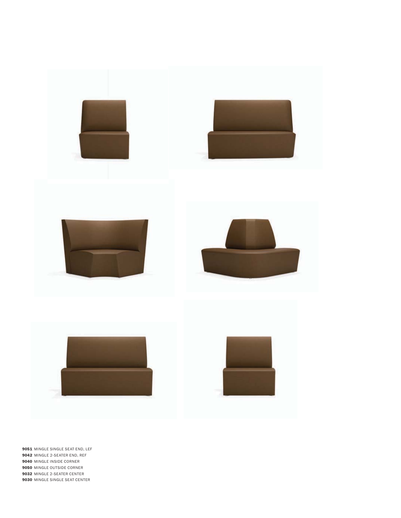

 MINGLE SINGLE SEAT END, LEF MINGLE 2-SEATER END, REF MINGLE INSIDE CORNER MINGLE OUTSIDE CORNER MINGLE 2-SEATER CENTER MINGLE SINGLE SEAT CENTER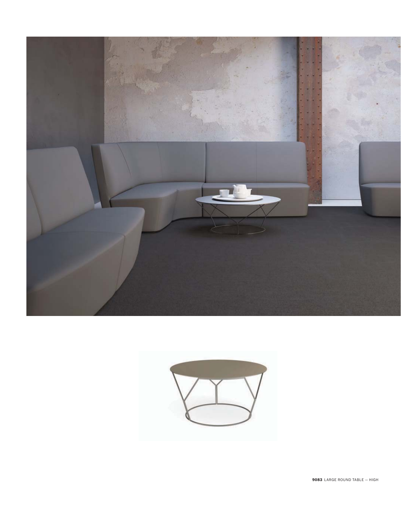



9083 LARGE ROUND TABLE - HIGH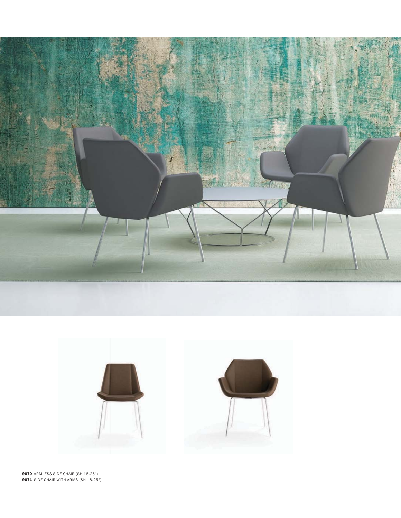



 ARMLESS SIDE CHAIR (SH 18.25") SIDE CHAIR WITH ARMS (SH 18.25")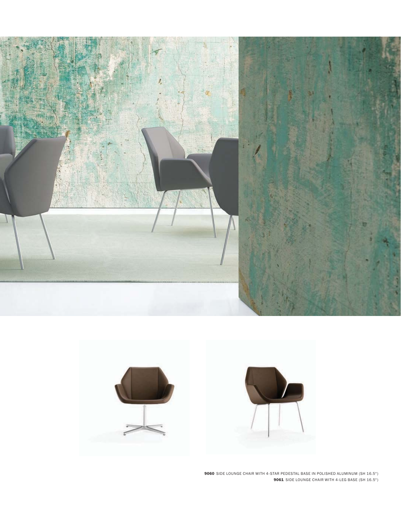



 SIDE LOUNGE CHAIR WITH 4-STAR PEDESTAL BASE IN POLISHED ALUMINUM (SH 16.5") SIDE LOUNGE CHAIR WITH 4-LEG BASE (SH 16.5")